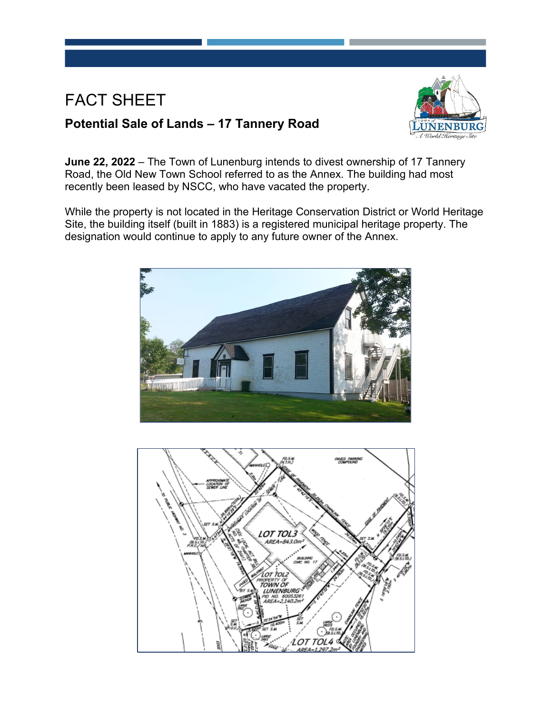## FACT SHEET





**June 22, 2022** – The Town of Lunenburg intends to divest ownership of 17 Tannery Road, the Old New Town School referred to as the Annex. The building had most recently been leased by NSCC, who have vacated the property.

While the property is not located in the Heritage Conservation District or World Heritage Site, the building itself (built in 1883) is a registered municipal heritage property. The designation would continue to apply to any future owner of the Annex.